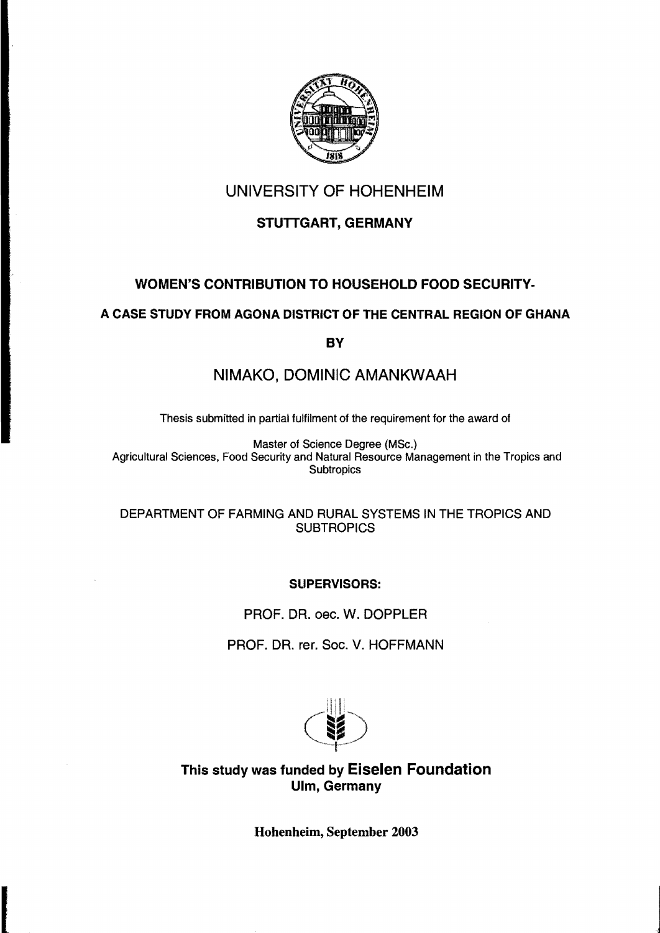

# UNIVERSITY OF HOHENHEIM

# STUTTGART, GERMANY

# WOMEN'S CONTRISUTION TO HOUSEHOLD FOOD SECURITV-

# A CASE STUDY FROM AGONA DISTRICT OF THE CENTRAL REGION OF GHANA

**BY** 

# NIMAKO, DOMINIC AMANKWAAH

Thesis submitted in partial fulfilment of the requirement for the award of

Master of Science Degree (MSc.) Agricultural Sciences, Food Security and Natural Resource Management in the Tropics and **Subtropics** 

DEPARTMENT OF FARMING AND RURAL SYSTEMS IN THE TROPICS AND **SUBTROPICS** 

## SUPERVISORS:

PROF. DR. oec. W. DOPPLER

PROF. DR. rer. Soc. V. HOFFMANN



This study was funded by Eiselen Foundation Ulm, Germany

Hohenheim, September 2003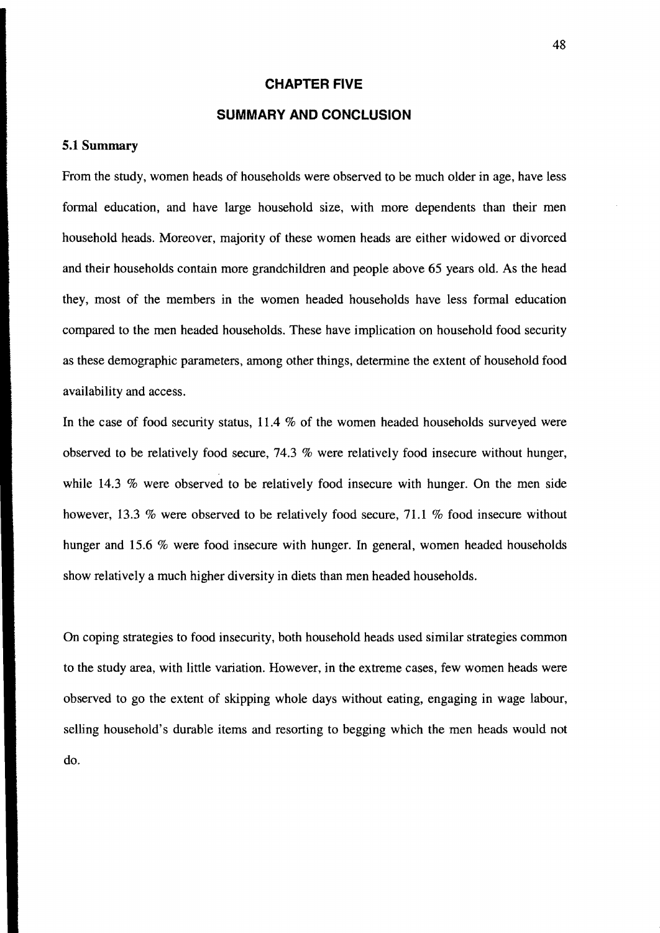#### **CHAPTER FIVE**

## **SUMMARY AND CONClUSION**

#### **5.1 Summary**

From the study, women heads of households were observed to be mueh older in age, have less formal edueation, and have large household size, with more dependents than their men household heads. Moreover, majority of these women heads are either widowed or divoreed and their households eontain more grandehildren and people above 65 years old. As the head they, most of the members in the women headed households have less formal edueation eompared to the men headed households. These have implieation on household food seeurity as these demographie parameters, among other things, determine the extent of household food availability and access.

In the case of food security status, 11.4 % of the women headed households surveyed were observed to be relatively food seeure, 74.3 % were relatively food inseeure without hunger, while 14.3 % were observed to be relatively food insecure with hunger. On the men side however, 13.3 % were observed to be relatively food secure, 71.1 % food insecure without hunger and 15.6 % were food insecure with hunger. In general, women headed households show relatively a mueh higher diversity in diets than men headed households.

On eoping strategies to food inseeurity, both household heads used similar strategies eommon to the study area, with little variation. However, in the extreme eases, few women heads were observed to go the extent of skipping whole days without eating, engaging in wage labour, selling household's durable items and resorting to begging which the men heads would not do.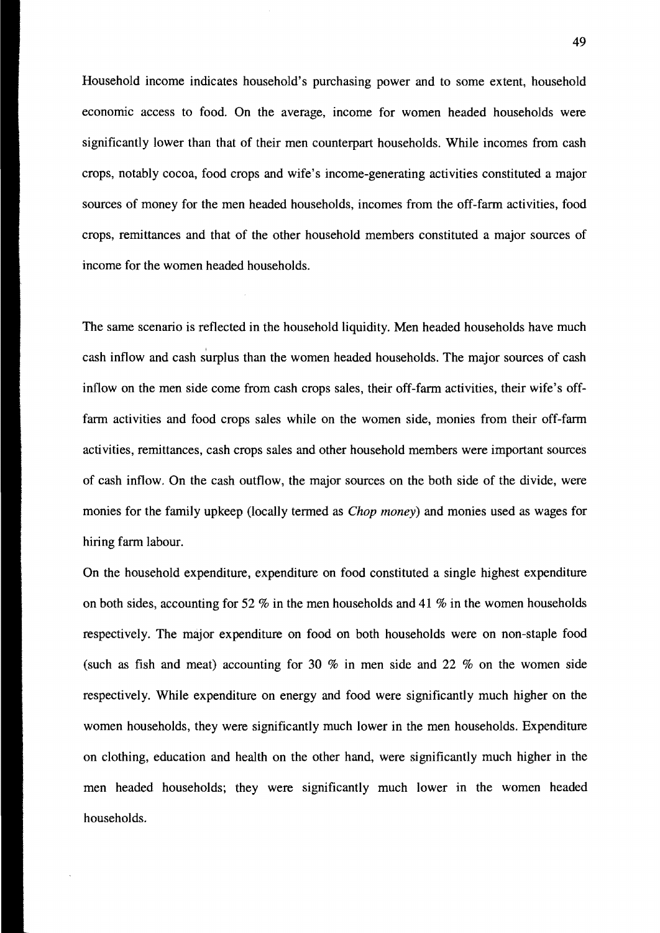Household income indicates household's purchasing power and to some extent, household economic access to food. On the average, income for women headed households were significantly lower than that of their men counterpart households. While incomes from cash crops, notably cocoa, food crops and wife's income-generating activities constituted a major sources of money for the men headed households, incomes from the off-farm activities, food crops, remittances and that of the other household members constituted a major sources of income for the women headed households.

The same scenario is reflected in the household liquidity. Men headed households have much  $\mathbf{r}$ cash inflow and cash surplus than the women headed households. The major sources of cash inflow on the men side come from cash crops sales, their off-farm activities, their wife's offfarm activities and food crops sales while on the women side, monies from their off-farm activities, remittances, cash crops sales and other household members were important sources of cash inflow. On the cash outflow, the major sources on the both side of the divide, were monies for the family upkeep (locally termed as Chop money) and monies used as wages for hiring farm labour.

On the household expenditure, expenditure on food constituted a single highest expenditure on both sides, accounting for 52 % in the men households and 41 % in the women households respectively. The major expenditure on food on both households were on non-staple food (such as fish and meat) accounting for 30 % in men side and 22 % on the women side respectively. While expenditure on energy and food were significantly much higher on the women households, they were significantly much lower in the men households. Expenditure on c1othing, education and health on the other hand, were significantly much higher in the men headed households; they were significantly much lower in the women headed households.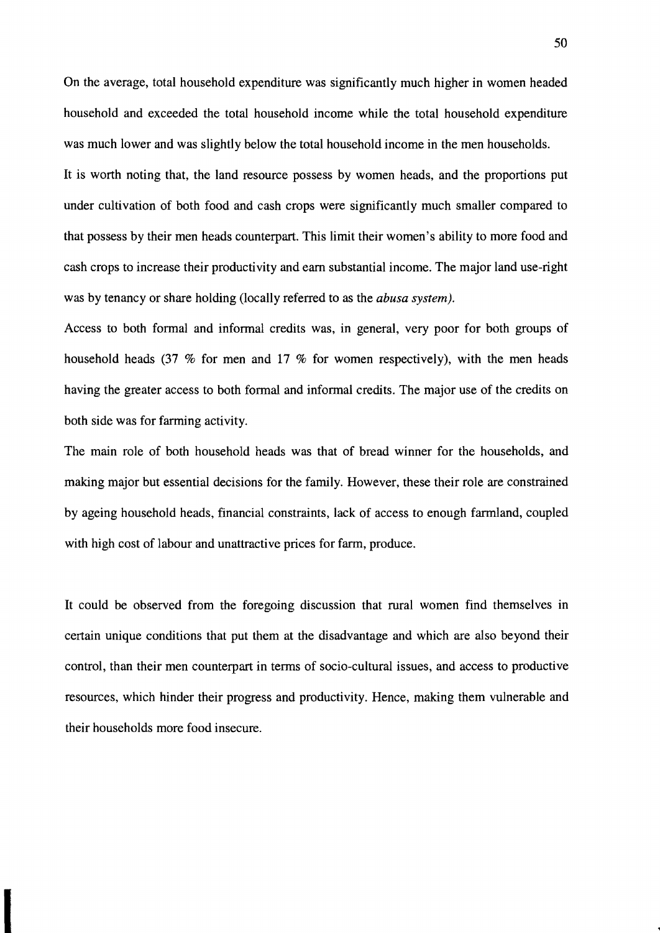On the average, total household expenditure was significantly much higher in women headed household and exceeded the total household income while the total household expenditure was much lower and was slightly below the total household income in the men households.

It is worth noting that, the land resource possess by women heads, and the proportions put under cultivation of both food and cash crops were significantly much smaller compared to that possess by their men heads counterpart. This limit their women's ability to more food and cash crops to increase their productivity and eam substantial income. The major land use-right was by tenancy or share holding (locally referred to as the *abusa system).* 

Access to both formal and informal credits was, in general, very poor for both groups of household heads (37 % for men and 17 % for women respectively), with the men heads having the greater access to both formal and informal credits. The major use of the credits on both side was for farming activity.

The main role of both household heads was that of bread winner for the households, and making major but essential decisions for the family. However, these their role are constrained by ageing household heads, financial constraints, lack of access to enough farmland, coupled with high cost of labour and unattractive prices for farm, produce.

It could be observed from the foregoing discussion that rural women find themselves in certain unique conditions that put them at the disadvantage and which are also beyond their control, than their men counterpart in terms of socio-cultural issues, and access to productive resources, which hinder their progress and productivity. Hence, making them vulnerable and their households more food insecure.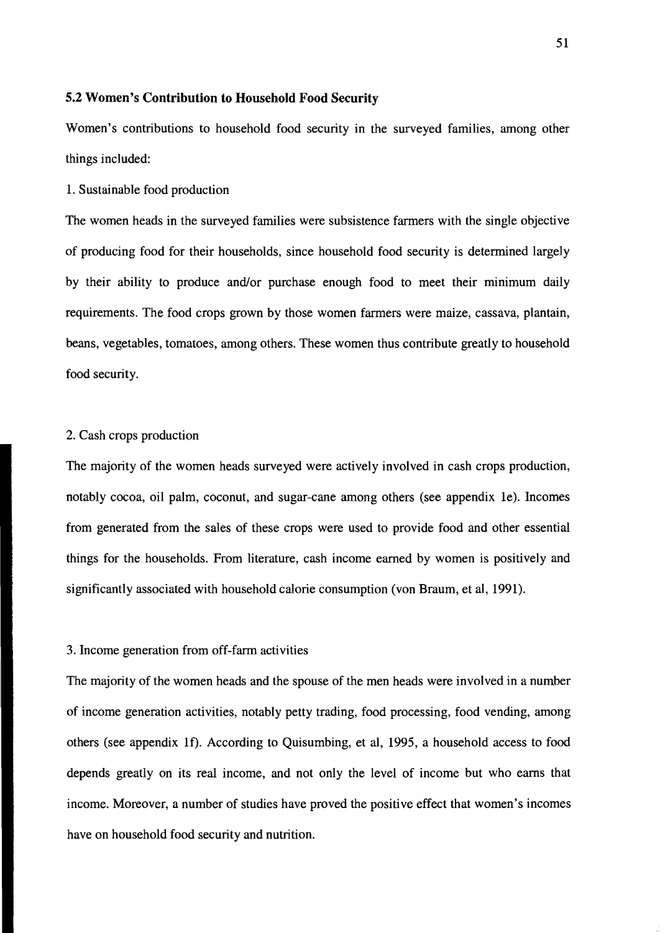## 5.2 Women's Contribution to Household Food Security

Women's contributions to household food security in the surveyed families, among other things included:

1. Sustainable food production

The women heads in the surveyed families were subsistence farmers with the single objective of producing food for their households, since household food security is determined largely by their ability to produce and/or purchase enough food to meet their minimum daily requirements. The food crops grown by those women farmers were maize, cassava, plantain, beans, vegetables, tomatoes, among others. These women thus contribute greatly to household food security.

#### 2. Cash crops production

The majority of the women heads surveyed were actively involved in cash crops production, notably cocoa, oil palm, coconut, and sugar-cane among others (see appendix le). Incomes from generated from the sales of these crops were used to provide food and other essential things for the households. From literature, cash income earned by women is positively and significantly associated with household calorie consumption (von Braum, et al, 1991).

## 3. Income generation from off-farm activities

The majority of the women heads and the spouse of the men heads were involved in a number of income generation activities, notably petty trading, food processing, food vending, among others (see appendix If). According to Quisumbing, et al, 1995, a household access to food depends greatly on its real income, and not only the level of income but who earns that income. Moreover, a number of studies have proved the positive effect that women's incomes have on household food security and nutrition.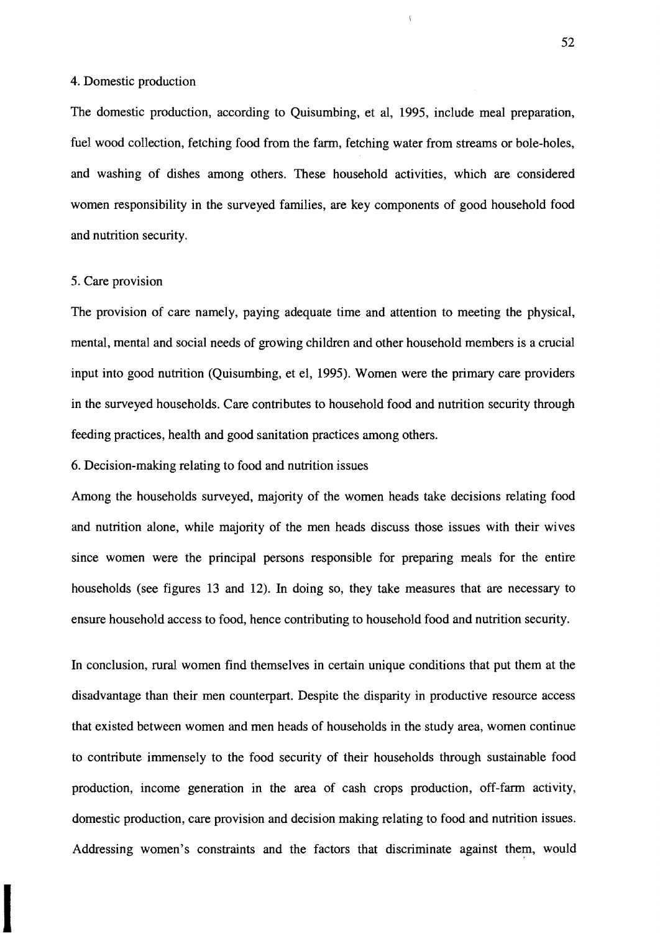#### 4. Domestic production

The domestic production, according to Quisumbing, et al, 1995, include meal preparation, fuel wood collection, fetching food from the farm, fetching water from streams or bole-holes, and washing of dishes among others. These household activities, which are considered women responsibility in the surveyed families, are key components of good household food and nutrition security.

### 5. Care provision

The provision of care namely, paying adequate time and attention to meeting the physical, mental, mental and social needs of growing children and other household members is a crucial input into good nutrition (Quisumbing, et el, 1995). Women were the primary care providers in the surveyed households. Care contributes to household food and nutrition security through feeding practices, health and good sanitation practices among others.

6. Decision-making relating to food and nutrition issues

Among the households surveyed, majority of the women heads take decisions relating food and nutrition alone, while majority of the men heads discuss those issues with their wives since women were the principal persons responsible for preparing meals for the entire households (see figures 13 and 12). In doing so, they take measures that are necessary to ensure household access to food, hence contributing to household food and nutrition security.

In conclusion, rural women find themselves in certain unique conditions that put them at the disadvantage than their men counterpart. Despite the disparity in productive resource access that existed between women and men heads of households in the study area, women continue to contribute immensely to the food security of their households through sustainable food production, income generation in the area of cash crops production, off-farm activity, domestic production, Care provision and decision making relating to food and nutrition issues. Addressing women's constraints and the factors that discriminate against them, would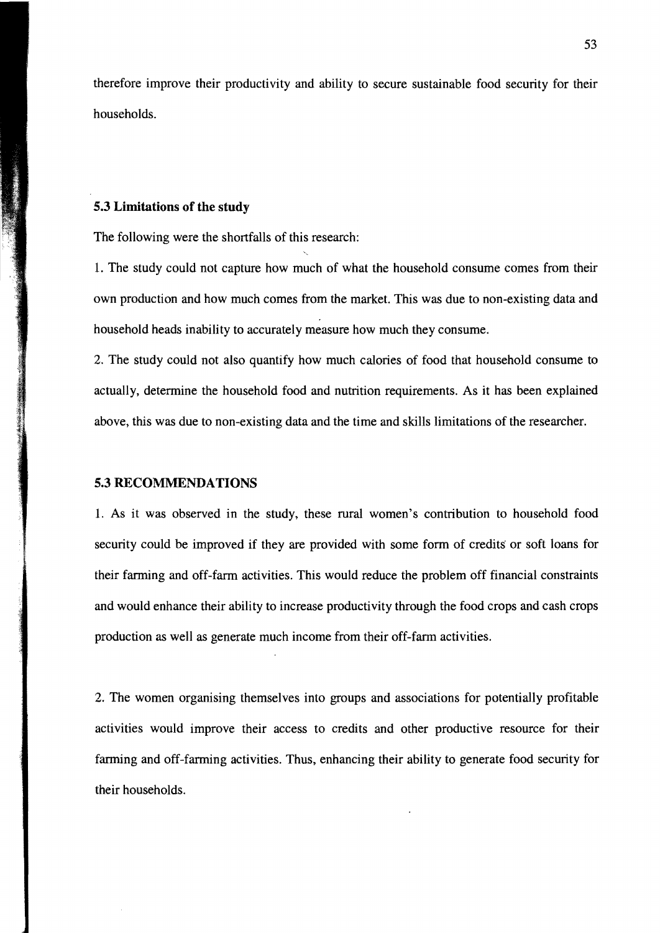therefore improve their productivity and ability to secure sustainable food security for their households.

### **5.3 Limitations of the study**

The following were the shortfalls of this research:

L The study could not capture how much of what the household consume comes from their own production and how much comes from the market. This was due to non-existing data and household heads inability to accurately measure how much they consume.

2. The study could not also quantify how much calories of food that household consume to actually, determine the household food and nutrition requirements. As it has been explained above, this was due to non-existing data and the time and skills limitations of the researcher.

### **5.3 RECOMMENDATIONS**

L As it was observed in the study, these rural women's contribution to household food security could be improved if they are provided with some form of credits or soft loans for their farming and off-farm activities. This would reduce the problem off financial constraints and would enhance their ability to increase productivity through the food crops and cash crops production as weIl as generate much income from their off-farm activities.

2. The women organising themselves into groups and associations for potentially profitable activities would improve their access to credits and other productive resource for their farming and off-farming activities. Thus, enhancing their ability to generate food security for their households.